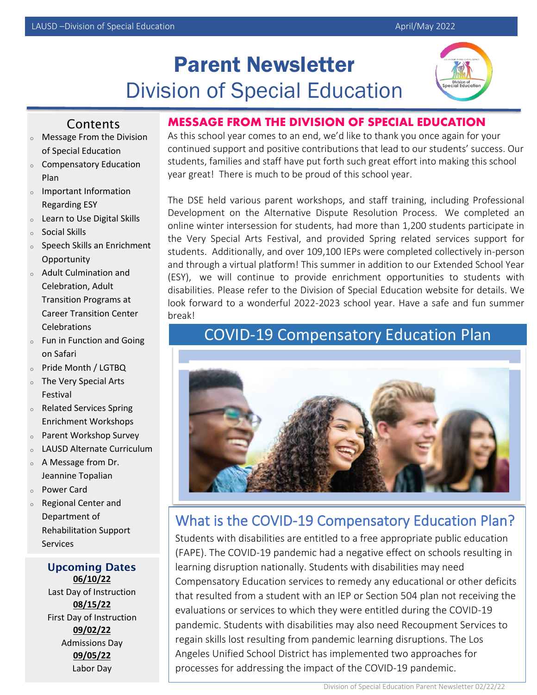# Parent Newsletter Division of Special Education



#### Contents

- <sup>o</sup> Message From the Division of Special Education
- <sup>o</sup> Compensatory Education Plan
- <sup>o</sup> Important Information Regarding ESY
- <sup>o</sup> Learn to Use Digital Skills
- <sup>o</sup> Social Skills
- <sup>o</sup> Speech Skills an Enrichment **Opportunity**
- <sup>o</sup> Adult Culmination and Celebration, Adult Transition Programs at Career Transition Center **Celebrations**
- <sup>o</sup> Fun in Function and Going on Safari
- <sup>o</sup> Pride Month / LGTBQ
- <sup>o</sup> The Very Special Arts Festival
- <sup>o</sup> Related Services Spring Enrichment Workshops
- <sup>o</sup> Parent Workshop Survey
- LAUSD Alternate Curriculum
- <sup>o</sup> A Message from Dr. Jeannine Topalian
- <sup>o</sup> Power Card
- <sup>o</sup> Regional Center and Department of Rehabilitation Support Services

<sup>o</sup> Recoupment Webpage

**Upcoming Dates**  $\frac{00/10/22}{5/3}$ Last Day of Instruction **06/10/22 08/15/22** First Day of Instruction **09/02/22** Admissions Day **09/05/22** Labor Day

#### **MESSAGE FROM THE DIVISION OF SPECIAL EDUCATION**

As this school year comes to an end, we'd like to thank you once again for your continued support and positive contributions that lead to our students' success. Our students, families and staff have put forth such great effort into making this school year great! There is much to be proud of this school year.

The DSE held various parent workshops, and staff training, including Professional Development on the Alternative Dispute Resolution Process. We completed an online winter intersession for students, had more than 1,200 students participate in the Very Special Arts Festival, and provided Spring related services support for students. Additionally, and over 109,100 IEPs were completed collectively in-person and through a virtual platform! This summer in addition to our Extended School Year (ESY), we will continue to provide enrichment opportunities to students with disabilities. Please refer to the Division of Special Education website for details. We look forward to a wonderful 2022-2023 school year. Have a safe and fun summer break!

## COVID-19 Compensatory Education Plan



## What is the COVID-19 Compensatory Education Plan?

Students with disabilities are entitled to a free appropriate public education (FAPE). The COVID-19 pandemic had a negative effect on schools resulting in learning disruption nationally. Students with disabilities may need Compensatory Education services to remedy any educational or other deficits that resulted from a student with an IEP or Section 504 plan not receiving the evaluations or services to which they were entitled during the COVID-19 pandemic. Students with disabilities may also need Recoupment Services to regain skills lost resulting from pandemic learning disruptions. The Los Angeles Unified School District has implemented two approaches for processes for addressing the impact of the COVID-19 pandemic.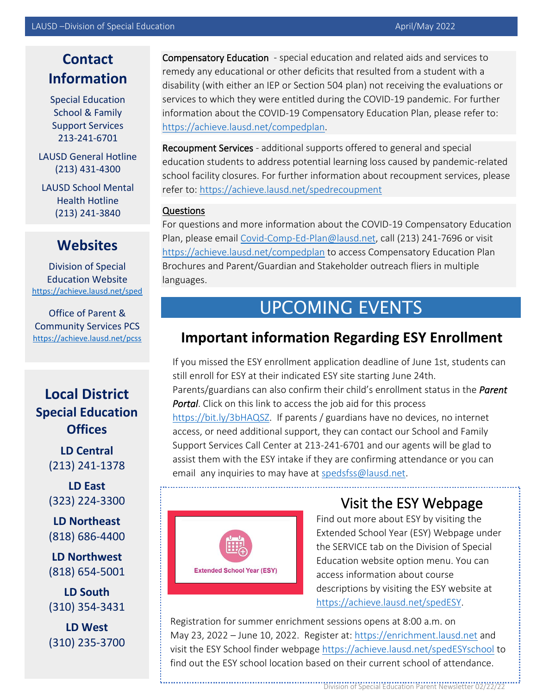## **Contact Information**

Special Education School & Family Support Services 213-241-6701

LAUSD General Hotline (213) 431-4300

LAUSD School Mental Health Hotline (213) 241-3840

## **Websites**

Division of Special Education Website <https://achieve.lausd.net/sped>

Office of Parent & Community Services PCS <https://achieve.lausd.net/pcss>

### **Local District Special Education Offices**

**LD Central**  (213) 241-1378

**LD East**  (323) 224-3300

**LD Northeast**  (818) 686-4400

**LD Northwest** (818) 654-5001

**LD South** (310) 354-3431

**LD West** (310) 235-3700

Compensatory Education - special education and related aids and services to remedy any educational or other deficits that resulted from a student with a disability (with either an IEP or Section 504 plan) not receiving the evaluations or services to which they were entitled during the COVID-19 pandemic. For further information about the COVID-19 Compensatory Education Plan, please refer to: [https://achieve.lausd.net/compedplan.](https://achieve.lausd.net/compedplan)

Recoupment Services - additional supports offered to general and special education students to address potential learning loss caused by pandemic-related school facility closures. For further information about recoupment services, please refer to[: https://achieve.lausd.net/spedrecoupment](https://achieve.lausd.net/spedrecoupment)

#### Questions

For questions and more information about the COVID-19 Compensatory Education Plan, please email [Covid-Comp-Ed-Plan@lausd.net,](mailto:Covid-Comp-Ed-Plan@lausd.net) call (213) 241-7696 or visit <https://achieve.lausd.net/compedplan> to access Compensatory Education Plan Brochures and Parent/Guardian and Stakeholder outreach fliers in multiple languages.

# UPCOMING EVENTS

## **Important information Regarding ESY Enrollment**

If you missed the ESY enrollment application deadline of June 1st, students can still enroll for ESY at their indicated ESY site starting June 24th. Parents/guardians can also confirm their child's enrollment status in the *Parent Portal*. Click on this link to access the job aid for this process [https://bit.ly/3bHAQSZ.](https://bit.ly/3bHAQSZ) If parents / guardians have no devices, no internet access, or need additional support, they can contact our School and Family Support Services Call Center at 213-241-6701 and our agents will be glad to assist them with the ESY intake if they are confirming attendance or you can email any inquiries to may have a[t spedsfss@lausd.net.](mailto:spedsfss@lausd.net)



## Visit the ESY Webpage

Find out more about ESY by visiting the Extended School Year (ESY) Webpage under the SERVICE tab on the Division of Special Education website option menu. You can access information about course descriptions by visiting the ESY website at [https://achieve.lausd.net/spedESY.](https://achieve.lausd.net/spedESY)

Registration for summer enrichment sessions opens at 8:00 a.m. on May 23, 2022 – June 10, 2022. Register at: [https://enrichment.lausd.net](https://enrichment.lausd.net/) and visit the ESY School finder webpage <https://achieve.lausd.net/spedESYschool> to find out the ESY school location based on their current school of attendance.

Division of Special Education Parent Newsletter 02/22/22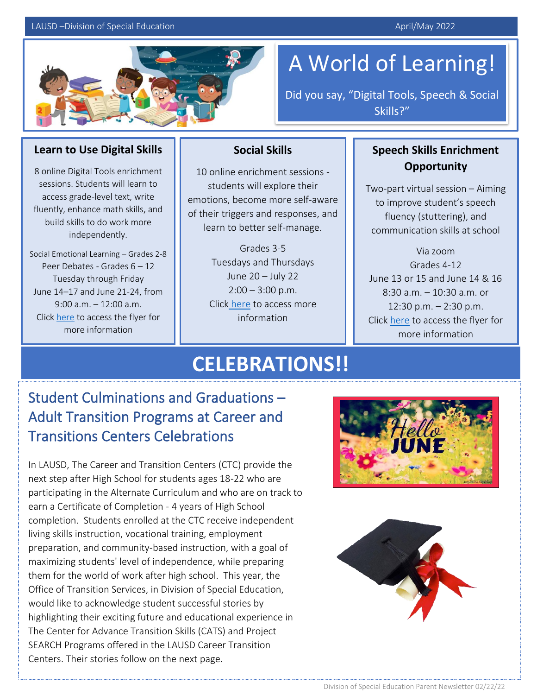#### LAUSD –Division of Special Education April/May 2022



# A World of Learning!

Did you say, "Digital Tools, Speech & Social Skills?"

#### **Learn to Use Digital Skills**

8 online Digital Tools enrichment sessions. Students will learn to access grade-level text, write fluently, enhance math skills, and build skills to do work more independently.

Social Emotional Learning – Grades 2-8 Peer Debates - Grades 6 - 12 Tuesday through Friday June 14–17 and June 21-24, from 9:00 a.m. – 12:00 a.m. Click [here](https://achieve.lausd.net/cms/lib/CA01000043/Centricity/Domain/1220/Summer%20Enrichment%20Session%202022%20-%20Eng_Span.pdf) to access the flyer for more information

#### **Social Skills**

10 online enrichment sessions students will explore their emotions, become more self-aware of their triggers and responses, and learn to better self-manage.

> Grades 3-5 Tuesdays and Thursdays June 20 – July 22  $2:00 - 3:00$  p.m. Click [here](https://achieve.lausd.net/site/default.aspx?PageType=3&ModuleInstanceID=61727&ViewID=7b97f7ed-8e5e-4120-848f-a8b4987d588f&RenderLoc=0&FlexDataID=119076&PageID=16729) to access more information

#### **Speech Skills Enrichment Opportunity**

Two-part virtual session – Aiming to improve student's speech fluency (stuttering), and communication skills at school

Via zoom Grades 4-12 June 13 or 15 and June 14 & 16 8:30 a.m. – 10:30 a.m. or 12:30 p.m. – 2:30 p.m. Click [here](https://achieve.lausd.net/cms/lib/CA01000043/Centricity/Domain/1220/LAS%20Enrichment%20Grades%204-12%20Eng_Span.pdf) to access the flyer for more information

# **CELEBRATIONS!!**

## Student Culminations and Graduations – Adult Transition Programs at Career and Transitions Centers Celebrations

In LAUSD, The Career and Transition Centers (CTC) provide the next step after High School for students ages 18-22 who are participating in the Alternate Curriculum and who are on track to earn a Certificate of Completion - 4 years of High School completion. Students enrolled at the CTC receive independent living skills instruction, vocational training, employment preparation, and community-based instruction, with a goal of maximizing students' level of independence, while preparing them for the world of work after high school. This year, the Office of Transition Services, in Division of Special Education, would like to acknowledge student successful stories by highlighting their exciting future and educational experience in The Center for Advance Transition Skills (CATS) and Project SEARCH Programs offered in the LAUSD Career Transition Centers. Their stories follow on the next page.



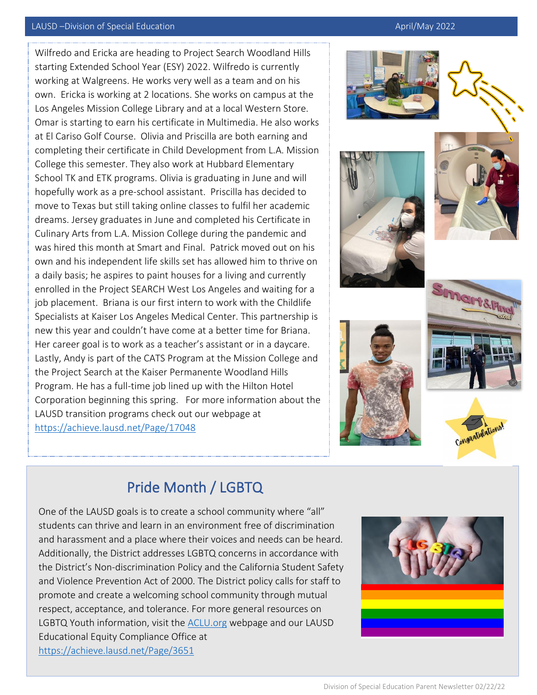#### LAUSD –Division of Special Education April/May 2022

Wilfredo and Ericka are heading to Project Search Woodland Hills starting Extended School Year (ESY) 2022. Wilfredo is currently working at Walgreens. He works very well as a team and on his own. Ericka is working at 2 locations. She works on campus at the Los Angeles Mission College Library and at a local Western Store. Omar is starting to earn his certificate in Multimedia. He also works at El Cariso Golf Course. Olivia and Priscilla are both earning and completing their certificate in Child Development from L.A. Mission College this semester. They also work at Hubbard Elementary School TK and ETK programs. Olivia is graduating in June and will hopefully work as a pre-school assistant. Priscilla has decided to move to Texas but still taking online classes to fulfil her academic dreams. Jersey graduates in June and completed his Certificate in Culinary Arts from L.A. Mission College during the pandemic and was hired this month at Smart and Final. Patrick moved out on his own and his independent life skills set has allowed him to thrive on a daily basis; he aspires to paint houses for a living and currently enrolled in the Project SEARCH West Los Angeles and waiting for a job placement. Briana is our first intern to work with the Childlife Specialists at Kaiser Los Angeles Medical Center. This partnership is new this year and couldn't have come at a better time for Briana. Her career goal is to work as a teacher's assistant or in a daycare. Lastly, Andy is part of the CATS Program at the Mission College and the Project Search at the Kaiser Permanente Woodland Hills Program. He has a full-time job lined up with the Hilton Hotel Corporation beginning this spring. For more information about the LAUSD transition programs check out our webpage at <https://achieve.lausd.net/Page/17048>













### Pride Month / LGBTQ

One of the LAUSD goals is to create a school community where "all" students can thrive and learn in an environment free of discrimination and harassment and a place where their voices and needs can be heard. Additionally, the District addresses LGBTQ concerns in accordance with the District's Non-discrimination Policy and the California Student Safety and Violence Prevention Act of 2000. The District policy calls for staff to promote and create a welcoming school community through mutual respect, acceptance, and tolerance. For more general resources on LGBTQ Youth information, visit the [ACLU.org](https://www.aclu.org/library-lgbt-youth-schools-resources-and-links?redirect=lgbt-rights_hiv-aids/library#filtering) webpage and our LAUSD Educational Equity Compliance Office at <https://achieve.lausd.net/Page/3651>

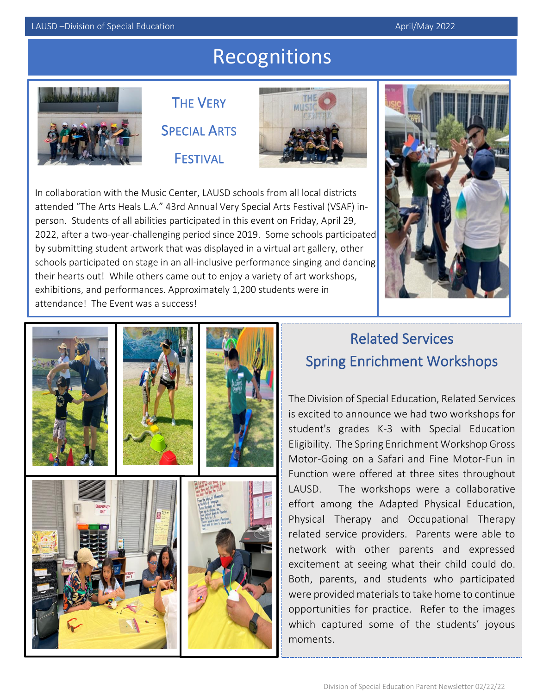# Recognitions



**THE VERY** SPECIAL ARTS FESTIVAL



In collaboration with the Music Center, LAUSD schools from all local districts attended "The Arts Heals L.A." 43rd Annual Very Special Arts Festival (VSAF) inperson. Students of all abilities participated in this event on Friday, April 29, 2022, after a two-year-challenging period since 2019. Some schools participated by submitting student artwork that was displayed in a virtual art gallery, other schools participated on stage in an all-inclusive performance singing and dancing their hearts out! While others came out to enjoy a variety of art workshops, exhibitions, and performances. Approximately 1,200 students were in attendance! The Event was a success!





## Related Services Spring Enrichment Workshops

The Division of Special Education, Related Services is excited to announce we had two workshops for student's grades K-3 with Special Education Eligibility. The Spring Enrichment Workshop Gross Motor-Going on a Safari and Fine Motor-Fun in Function were offered at three sites throughout LAUSD. The workshops were a collaborative effort among the Adapted Physical Education, Physical Therapy and Occupational Therapy related service providers. Parents were able to network with other parents and expressed excitement at seeing what their child could do. Both, parents, and students who participated were provided materials to take home to continue opportunities for practice. Refer to the images which captured some of the students' joyous moments.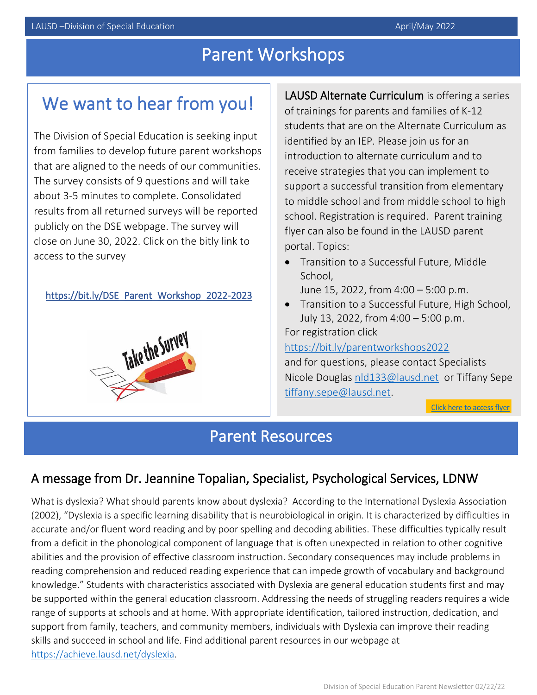# Parent Workshops

## We want to hear from you!

The Division of Special Education is seeking input from families to develop future parent workshops that are aligned to the needs of our communities. The survey consists of 9 questions and will take about 3-5 minutes to complete. Consolidated results from all returned surveys will be reported publicly on the DSE webpage. The survey will close on June 30, 2022. Click on the bitly link to access to the survey

[https://bit.ly/DSE\\_Parent\\_Workshop\\_2022-2023](https://bit.ly/DSE_Parent_Workshop_2022-2023) 



LAUSD Alternate Curriculum is offering a series of trainings for parents and families of K-12 students that are on the Alternate Curriculum as identified by an IEP. Please join us for an introduction to alternate curriculum and to receive strategies that you can implement to support a successful transition from elementary to middle school and from middle school to high school. Registration is required. Parent training flyer can also be found in the LAUSD parent portal. Topics:

- Transition to a Successful Future, Middle School,
	- June 15, 2022, from 4:00 5:00 p.m.
- Transition to a Successful Future, High School, July 13, 2022, from 4:00 – 5:00 p.m.

For registration click

<https://bit.ly/parentworkshops2022>

and for questions, please contact Specialists Nicole Douglas [nld133@lausd.net](mailto:nld133@lausd.net) or Tiffany Sepe [tiffany.sepe@lausd.net.](mailto:tiffany.sepe@lausd.net)

Click here to access flyer

### Parent Resources

#### A message from Dr. Jeannine Topalian, Specialist, Psychological Services, LDNW

What is dyslexia? What should parents know about dyslexia? According to the International Dyslexia Association (2002), "Dyslexia is a specific learning disability that is neurobiological in origin. It is characterized by difficulties in accurate and/or fluent word reading and by poor spelling and decoding abilities. These difficulties typically result from a deficit in the phonological component of language that is often unexpected in relation to other cognitive abilities and the provision of effective classroom instruction. Secondary consequences may include problems in reading comprehension and reduced reading experience that can impede growth of vocabulary and background knowledge." Students with characteristics associated with Dyslexia are general education students first and may be supported within the general education classroom. Addressing the needs of struggling readers requires a wide range of supports at schools and at home. With appropriate identification, tailored instruction, dedication, and support from family, teachers, and community members, individuals with Dyslexia can improve their reading skills and succeed in school and life. Find additional parent resources in our webpage at [https://achieve.lausd.net/dyslexia.](https://achieve.lausd.net/dyslexia)